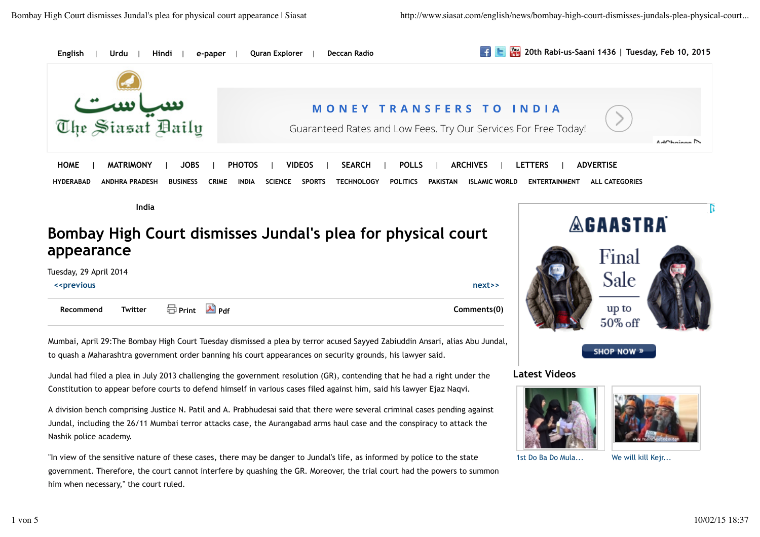